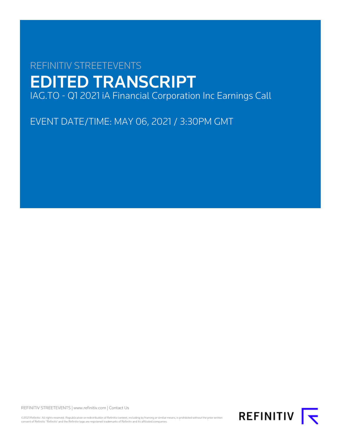# REFINITIV STREETEVENTS EDITED TRANSCRIPT IAG.TO - Q1 2021 iA Financial Corporation Inc Earnings Call

EVENT DATE/TIME: MAY 06, 2021 / 3:30PM GMT

REFINITIV STREETEVENTS | [www.refinitiv.com](https://www.refinitiv.com/) | [Contact Us](https://www.refinitiv.com/en/contact-us)

©2021 Refinitiv. All rights reserved. Republication or redistribution of Refinitiv content, including by framing or similar means, is prohibited without the prior written consent of Refinitiv. 'Refinitiv' and the Refinitiv logo are registered trademarks of Refinitiv and its affiliated companies.

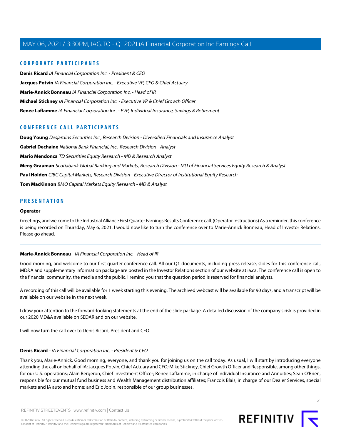### **CORPORATE PARTICIPANTS**

**[Denis Ricard](#page-1-0)** iA Financial Corporation Inc. - President & CEO **[Jacques Potvin](#page-3-0)** iA Financial Corporation Inc. - Executive VP, CFO & Chief Actuary **[Marie-Annick Bonneau](#page-1-1)** iA Financial Corporation Inc. - Head of IR **[Michael Stickney](#page-2-0)** iA Financial Corporation Inc. - Executive VP & Chief Growth Officer **[Renée Laflamme](#page-6-0)** iA Financial Corporation Inc. - EVP, Individual Insurance, Savings & Retirement

### **CONFERENCE CALL PARTICIPANTS**

**[Doug Young](#page-5-0)** Desjardins Securities Inc., Research Division - Diversified Financials and Insurance Analyst **[Gabriel Dechaine](#page-9-0)** National Bank Financial, Inc., Research Division - Analyst **[Mario Mendonca](#page-11-0)** TD Securities Equity Research - MD & Research Analyst **[Meny Grauman](#page-4-0)** Scotiabank Global Banking and Markets, Research Division - MD of Financial Services Equity Research & Analyst **[Paul Holden](#page-8-0)** CIBC Capital Markets, Research Division - Executive Director of Institutional Equity Research **[Tom MacKinnon](#page-10-0)** BMO Capital Markets Equity Research - MD & Analyst

#### **PRESENTATION**

#### **Operator**

<span id="page-1-1"></span>Greetings, and welcome to the Industrial Alliance First Quarter Earnings Results Conference call. (Operator Instructions) As a reminder, this conference is being recorded on Thursday, May 6, 2021. I would now like to turn the conference over to Marie-Annick Bonneau, Head of Investor Relations. Please go ahead.

#### **Marie-Annick Bonneau** - iA Financial Corporation Inc. - Head of IR

Good morning, and welcome to our first quarter conference call. All our Q1 documents, including press release, slides for this conference call, MD&A and supplementary information package are posted in the Investor Relations section of our website at ia.ca. The conference call is open to the financial community, the media and the public. I remind you that the question period is reserved for financial analysts.

A recording of this call will be available for 1 week starting this evening. The archived webcast will be available for 90 days, and a transcript will be available on our website in the next week.

<span id="page-1-0"></span>I draw your attention to the forward-looking statements at the end of the slide package. A detailed discussion of the company's risk is provided in our 2020 MD&A available on SEDAR and on our website.

I will now turn the call over to Denis Ricard, President and CEO.

#### **Denis Ricard** - iA Financial Corporation Inc. - President & CEO

Thank you, Marie-Annick. Good morning, everyone, and thank you for joining us on the call today. As usual, I will start by introducing everyone attending the call on behalf of iA: Jacques Potvin, Chief Actuary and CFO; Mike Stickney, Chief Growth Officer and Responsible, among other things, for our U.S. operations; Alain Bergeron, Chief Investment Officer; Renee Laflamme, in charge of Individual Insurance and Annuities; Sean O'Brien, responsible for our mutual fund business and Wealth Management distribution affiliates; Francois Blais, in charge of our Dealer Services, special markets and iA auto and home; and Eric Jobin, responsible of our group businesses.

REFINITIV STREETEVENTS | [www.refinitiv.com](https://www.refinitiv.com/) | [Contact Us](https://www.refinitiv.com/en/contact-us)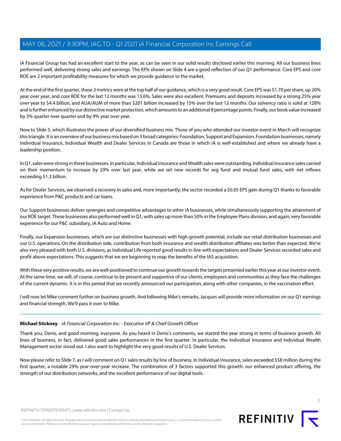iA Financial Group has had an excellent start to the year, as can be seen in our solid results disclosed earlier this morning. All our business lines performed well, delivering strong sales and earnings. The KPIs shown on Slide 4 are a good reflection of our Q1 performance. Core EPS and core ROE are 2 important profitability measures for which we provide guidance to the market.

At the end of the first quarter, these 2 metrics were at the top half of our guidance, which is a very good result. Core EPS was \$1.70 per share, up 20% year over year, and core ROE for the last 12 months was 13.6%. Sales were also excellent. Premiums and deposits increased by a strong 25% year over year to \$4.4 billion, and AUA/AUM of more than \$201 billion increased by 15% over the last 12 months. Our solvency ratio is solid at 128% and is further enhanced by our distinctive market protection, which amounts to an additional 8 percentage points. Finally, our book value increased by 3% quarter over quarter and by 9% year over year.

Now to Slide 5, which illustrates the power of our diversified business mix. Those of you who attended our investor event in March will recognize this triangle. It is an overview of our business mix based on 3 broad categories: Foundation, Support and Expansion. Foundation businesses, namely Individual Insurance, Individual Wealth and Dealer Services in Canada are those in which iA is well-established and where we already have a leadership position.

In Q1, sales were strong in these businesses. In particular, Individual Insurance and Wealth sales were outstanding. Individual Insurance sales carried on their momentum to increase by 29% over last year, while we set new records for seg fund and mutual fund sales, with net inflows exceeding \$1.3 billion.

As for Dealer Services, we observed a recovery in sales and, more importantly, the sector recorded a \$0.05 EPS gain during Q1 thanks to favorable experience from P&C products and car loans.

Our Support businesses deliver synergies and competitive advantages to other iA businesses, while simultaneously supporting the attainment of our ROE target. These businesses also performed well in Q1, with sales up more than 50% in the Employee Plans division, and again, very favorable experience for our P&C subsidiary, iA Auto and Home.

Finally, our Expansion businesses, which are our distinctive businesses with high-growth potential, include our retail distribution businesses and our U.S. operations. On the distribution side, contribution from both insurance and wealth distribution affiliates was better than expected. We're also very pleased with both U.S. divisions, as Individual Life reported good results in line with expectations and Dealer Services recorded sales and profit above expectations. This suggests that we are beginning to reap the benefits of the IAS acquisition.

With these very positive results, we are well-positioned to continue our growth towards the targets presented earlier this year at our investor event. At the same time, we will, of course, continue to be present and supportive of our clients, employees and communities as they face the challenges of the current dynamic. It is in this period that we recently announced our participation, along with other companies, in the vaccination effort.

<span id="page-2-0"></span>I will now let Mike comment further on business growth. And following Mike's remarks, Jacques will provide more information on our Q1 earnings and financial strength. We'll pass it over to Mike.

#### **Michael Stickney** - iA Financial Corporation Inc. - Executive VP & Chief Growth Officer

Thank you, Denis, and good morning, everyone. As you heard in Denis's comments, we started the year strong in terms of business growth. All lines of business, in fact, delivered good sales performances in the first quarter. In particular, the Individual Insurance and Individual Wealth Management sector stood out. I also want to highlight the very good results of U.S. Dealer Services.

Now please refer to Slide 7, as I will comment on Q1 sales results by line of business. In Individual Insurance, sales exceeded \$58 million during the first quarter, a notable 29% year-over-year increase. The combination of 3 factors supported this growth: our enhanced product offering, the strength of our distribution networks, and the excellent performance of our digital tools.

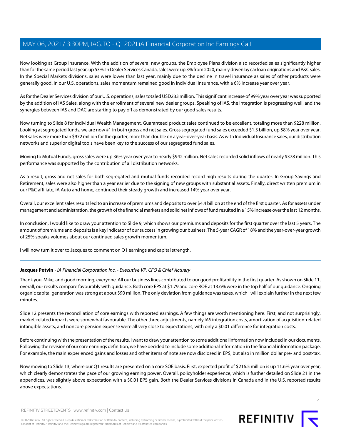Now looking at Group Insurance. With the addition of several new groups, the Employee Plans division also recorded sales significantly higher than for the same period last year, up 53%. In Dealer Services Canada, sales were up 3% from 2020, mainly driven by car loan originations and P&C sales. In the Special Markets divisions, sales were lower than last year, mainly due to the decline in travel insurance as sales of other products were generally good. In our U.S. operations, sales momentum remained good in Individual Insurance, with a 6% increase year over year.

As for the Dealer Services division of our U.S. operations, sales totaled USD233 million. This significant increase of 99% year over year was supported by the addition of IAS Sales, along with the enrollment of several new dealer groups. Speaking of IAS, the integration is progressing well, and the synergies between IAS and DAC are starting to pay off as demonstrated by our good sales results.

Now turning to Slide 8 for Individual Wealth Management. Guaranteed product sales continued to be excellent, totaling more than \$228 million. Looking at segregated funds, we are now #1 in both gross and net sales. Gross segregated fund sales exceeded \$1.3 billion, up 58% year over year. Net sales were more than \$972 million for the quarter, more than double on a year-over-year basis. As with Individual Insurance sales, our distribution networks and superior digital tools have been key to the success of our segregated fund sales.

Moving to Mutual Funds, gross sales were up 36% year over year to nearly \$942 million. Net sales recorded solid inflows of nearly \$378 million. This performance was supported by the contribution of all distribution networks.

As a result, gross and net sales for both segregated and mutual funds recorded record high results during the quarter. In Group Savings and Retirement, sales were also higher than a year earlier due to the signing of new groups with substantial assets. Finally, direct written premium in our P&C affiliate, iA Auto and home, continued their steady growth and increased 14% year over year.

Overall, our excellent sales results led to an increase of premiums and deposits to over \$4.4 billion at the end of the first quarter. As for assets under management and administration, the growth of the financial markets and solid net inflows of fund resulted in a 15% increase over the last 12 months.

In conclusion, I would like to draw your attention to Slide 9, which shows our premiums and deposits for the first quarter over the last 5 years. The amount of premiums and deposits is a key indicator of our success in growing our business. The 5-year CAGR of 18% and the year-over-year growth of 25% speaks volumes about our continued sales growth momentum.

<span id="page-3-0"></span>I will now turn it over to Jacques to comment on Q1 earnings and capital strength.

### **Jacques Potvin** - iA Financial Corporation Inc. - Executive VP, CFO & Chief Actuary

Thank you, Mike, and good morning, everyone. All our business lines contributed to our good profitability in the first quarter. As shown on Slide 11, overall, our results compare favourably with guidance. Both core EPS at \$1.79 and core ROE at 13.6% were in the top half of our guidance. Ongoing organic capital generation was strong at about \$90 million. The only deviation from guidance was taxes, which I will explain further in the next few minutes.

Slide 12 presents the reconciliation of core earnings with reported earnings. A few things are worth mentioning here. First, and not surprisingly, market-related impacts were somewhat favourable. The other three adjustments, namely IAS integration costs, amortization of acquisition-related intangible assets, and noncore pension expense were all very close to expectations, with only a \$0.01 difference for integration costs.

Before continuing with the presentation of the results, I want to draw your attention to some additional information now included in our documents. Following the revision of our core earnings definition, we have decided to include some additional information in the financial information package. For example, the main experienced gains and losses and other items of note are now disclosed in EPS, but also in million dollar pre- and post-tax.

Now moving to Slide 13, where our Q1 results are presented on a core SOE basis. First, expected profit of \$216.5 million is up 11.6% year over year, which clearly demonstrates the pace of our growing earning power. Overall, policyholder experience, which is further detailed on Slide 21 in the appendices, was slightly above expectation with a \$0.01 EPS gain. Both the Dealer Services divisions in Canada and in the U.S. reported results above expectations.



REFINITIV STREETEVENTS | [www.refinitiv.com](https://www.refinitiv.com/) | [Contact Us](https://www.refinitiv.com/en/contact-us)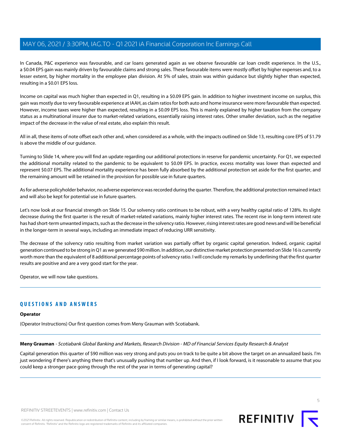In Canada, P&C experience was favourable, and car loans generated again as we observe favourable car loan credit experience. In the U.S., a \$0.04 EPS gain was mainly driven by favourable claims and strong sales. These favourable items were mostly offset by higher expenses and, to a lesser extent, by higher mortality in the employee plan division. At 5% of sales, strain was within guidance but slightly higher than expected, resulting in a \$0.01 EPS loss.

Income on capital was much higher than expected in Q1, resulting in a \$0.09 EPS gain. In addition to higher investment income on surplus, this gain was mostly due to very favourable experience at IAAH, as claim ratios for both auto and home insurance were more favourable than expected. However, income taxes were higher than expected, resulting in a \$0.09 EPS loss. This is mainly explained by higher taxation from the company status as a multinational insurer due to market-related variations, essentially raising interest rates. Other smaller deviation, such as the negative impact of the decrease in the value of real estate, also explain this result.

All in all, these items of note offset each other and, when considered as a whole, with the impacts outlined on Slide 13, resulting core EPS of \$1.79 is above the middle of our guidance.

Turning to Slide 14, where you will find an update regarding our additional protections in reserve for pandemic uncertainty. For Q1, we expected the additional mortality related to the pandemic to be equivalent to \$0.09 EPS. In practice, excess mortality was lower than expected and represent \$0.07 EPS. The additional mortality experience has been fully absorbed by the additional protection set aside for the first quarter, and the remaining amount will be retained in the provision for possible use in future quarters.

As for adverse policyholder behavior, no adverse experience was recorded during the quarter. Therefore, the additional protection remained intact and will also be kept for potential use in future quarters.

Let's now look at our financial strength on Slide 15. Our solvency ratio continues to be robust, with a very healthy capital ratio of 128%. Its slight decrease during the first quarter is the result of market-related variations, mainly higher interest rates. The recent rise in long-term interest rate has had short-term unwanted impacts, such as the decrease in the solvency ratio. However, rising interest rates are good news and will be beneficial in the longer-term in several ways, including an immediate impact of reducing URR sensitivity.

The decrease of the solvency ratio resulting from market variation was partially offset by organic capital generation. Indeed, organic capital generation continued to be strong in Q1 as we generated \$90 million. In addition, our distinctive market protection presented on Slide 16 is currently worth more than the equivalent of 8 additional percentage points of solvency ratio. I will conclude my remarks by underlining that the first quarter results are positive and are a very good start for the year.

Operator, we will now take questions.

### **QUESTIONS AND ANSWERS**

#### <span id="page-4-0"></span>**Operator**

(Operator Instructions) Our first question comes from Meny Grauman with Scotiabank.

**Meny Grauman** - Scotiabank Global Banking and Markets, Research Division - MD of Financial Services Equity Research & Analyst

Capital generation this quarter of \$90 million was very strong and puts you on track to be quite a bit above the target on an annualized basis. I'm just wondering if there's anything there that's unusually pushing that number up. And then, if I look forward, is it reasonable to assume that you could keep a stronger pace going through the rest of the year in terms of generating capital?

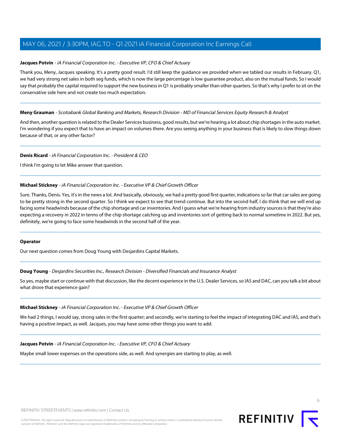#### **Jacques Potvin** - iA Financial Corporation Inc. - Executive VP, CFO & Chief Actuary

Thank you, Meny, Jacques speaking. It's a pretty good result. I'd still keep the guidance we provided when we tabled our results in February. Q1, we had very strong net sales in both seg funds, which is now the large percentage is low guarantee product, also on the mutual funds. So I would say that probably the capital required to support the new business in Q1 is probably smaller than other quarters. So that's why I prefer to sit on the conservative side here and not create too much expectation.

#### **Meny Grauman** - Scotiabank Global Banking and Markets, Research Division - MD of Financial Services Equity Research & Analyst

And then, another question is related to the Dealer Services business, good results, but we're hearing a lot about chip shortages in the auto market. I'm wondering if you expect that to have an impact on volumes there. Are you seeing anything in your business that is likely to slow things down because of that, or any other factor?

#### **Denis Ricard** - iA Financial Corporation Inc. - President & CEO

I think I'm going to let Mike answer that question.

#### **Michael Stickney** - iA Financial Corporation Inc. - Executive VP & Chief Growth Officer

Sure. Thanks, Denis. Yes, it's in the news a lot. And basically, obviously, we had a pretty good first quarter, indications so far that car sales are going to be pretty strong in the second quarter. So I think we expect to see that trend continue. But into the second half, I do think that we will end up facing some headwinds because of the chip shortage and car inventories. And I guess what we're hearing from industry sources is that they're also expecting a recovery in 2022 in terms of the chip shortage catching up and inventories sort of getting back to normal sometime in 2022. But yes, definitely, we're going to face some headwinds in the second half of the year.

#### <span id="page-5-0"></span>**Operator**

Our next question comes from Doug Young with Desjardins Capital Markets.

**Doug Young** - Desjardins Securities Inc., Research Division - Diversified Financials and Insurance Analyst

So yes, maybe start or continue with that discussion, like the decent experience in the U.S. Dealer Services, so IAS and DAC, can you talk a bit about what drove that experience gain?

#### **Michael Stickney** - iA Financial Corporation Inc. - Executive VP & Chief Growth Officer

We had 2 things, I would say, strong sales in the first quarter; and secondly, we're starting to feel the impact of integrating DAC and IAS, and that's having a positive impact, as well. Jacques, you may have some other things you want to add.

#### **Jacques Potvin** - iA Financial Corporation Inc. - Executive VP, CFO & Chief Actuary

Maybe small lower expenses on the operations side, as well. And synergies are starting to play, as well.

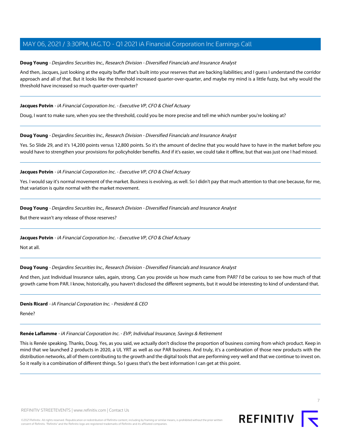#### **Doug Young** - Desjardins Securities Inc., Research Division - Diversified Financials and Insurance Analyst

And then, Jacques, just looking at the equity buffer that's built into your reserves that are backing liabilities; and I guess I understand the corridor approach and all of that. But it looks like the threshold increased quarter-over-quarter, and maybe my mind is a little fuzzy, but why would the threshold have increased so much quarter-over-quarter?

### **Jacques Potvin** - iA Financial Corporation Inc. - Executive VP, CFO & Chief Actuary

Doug, I want to make sure, when you see the threshold, could you be more precise and tell me which number you're looking at?

### **Doug Young** - Desjardins Securities Inc., Research Division - Diversified Financials and Insurance Analyst

Yes. So Slide 29, and it's 14,200 points versus 12,800 points. So it's the amount of decline that you would have to have in the market before you would have to strengthen your provisions for policyholder benefits. And if it's easier, we could take it offline, but that was just one I had missed.

### **Jacques Potvin** - iA Financial Corporation Inc. - Executive VP, CFO & Chief Actuary

Yes. I would say it's normal movement of the market. Business is evolving, as well. So I didn't pay that much attention to that one because, for me, that variation is quite normal with the market movement.

### **Doug Young** - Desjardins Securities Inc., Research Division - Diversified Financials and Insurance Analyst

But there wasn't any release of those reserves?

#### **Jacques Potvin** - iA Financial Corporation Inc. - Executive VP, CFO & Chief Actuary

Not at all.

#### **Doug Young** - Desjardins Securities Inc., Research Division - Diversified Financials and Insurance Analyst

And then, just Individual Insurance sales, again, strong. Can you provide us how much came from PAR? I'd be curious to see how much of that growth came from PAR. I know, historically, you haven't disclosed the different segments, but it would be interesting to kind of understand that.

#### <span id="page-6-0"></span>**Denis Ricard** - iA Financial Corporation Inc. - President & CEO

Renée?

### **Renée Laflamme** - iA Financial Corporation Inc. - EVP, Individual Insurance, Savings & Retirement

This is Renée speaking. Thanks, Doug. Yes, as you said, we actually don't disclose the proportion of business coming from which product. Keep in mind that we launched 2 products in 2020, a UL YRT as well as our PAR business. And truly, it's a combination of those new products with the distribution networks, all of them contributing to the growth and the digital tools that are performing very well and that we continue to invest on. So it really is a combination of different things. So I guess that's the best information I can get at this point.

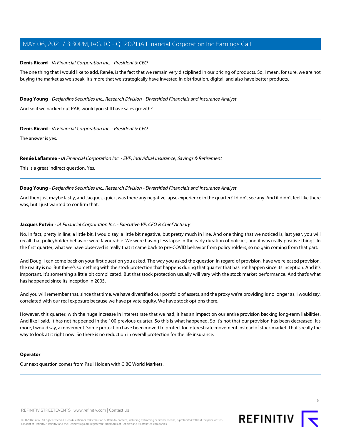### **Denis Ricard** - iA Financial Corporation Inc. - President & CEO

The one thing that I would like to add, Renée, is the fact that we remain very disciplined in our pricing of products. So, I mean, for sure, we are not buying the market as we speak. It's more that we strategically have invested in distribution, digital, and also have better products.

#### **Doug Young** - Desjardins Securities Inc., Research Division - Diversified Financials and Insurance Analyst

And so if we backed out PAR, would you still have sales growth?

#### **Denis Ricard** - iA Financial Corporation Inc. - President & CEO

The answer is yes.

#### **Renée Laflamme** - iA Financial Corporation Inc. - EVP, Individual Insurance, Savings & Retirement

This is a great indirect question. Yes.

#### **Doug Young** - Desjardins Securities Inc., Research Division - Diversified Financials and Insurance Analyst

And then just maybe lastly, and Jacques, quick, was there any negative lapse experience in the quarter? I didn't see any. And it didn't feel like there was, but I just wanted to confirm that.

#### **Jacques Potvin** - iA Financial Corporation Inc. - Executive VP, CFO & Chief Actuary

No. In fact, pretty in line; a little bit, I would say, a little bit negative, but pretty much in line. And one thing that we noticed is, last year, you will recall that policyholder behavior were favourable. We were having less lapse in the early duration of policies, and it was really positive things. In the first quarter, what we have observed is really that it came back to pre-COVID behavior from policyholders, so no gain coming from that part.

And Doug, I can come back on your first question you asked. The way you asked the question in regard of provision, have we released provision, the reality is no. But there's something with the stock protection that happens during that quarter that has not happen since its inception. And it's important. It's something a little bit complicated. But that stock protection usually will vary with the stock market performance. And that's what has happened since its inception in 2005.

And you will remember that, since that time, we have diversified our portfolio of assets, and the proxy we're providing is no longer as, I would say, correlated with our real exposure because we have private equity. We have stock options there.

However, this quarter, with the huge increase in interest rate that we had, it has an impact on our entire provision backing long-term liabilities. And like I said, it has not happened in the 100 previous quarter. So this is what happened. So it's not that our provision has been decreased. It's more, I would say, a movement. Some protection have been moved to protect for interest rate movement instead of stock market. That's really the way to look at it right now. So there is no reduction in overall protection for the life insurance.

#### **Operator**

Our next question comes from Paul Holden with CIBC World Markets.

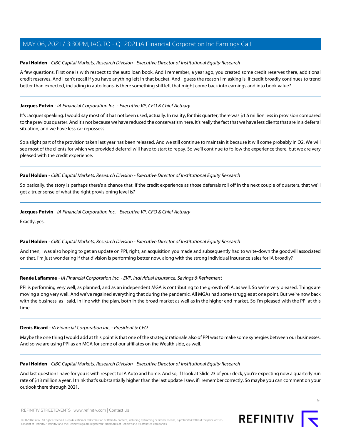### <span id="page-8-0"></span>**Paul Holden** - CIBC Capital Markets, Research Division - Executive Director of Institutional Equity Research

A few questions. First one is with respect to the auto loan book. And I remember, a year ago, you created some credit reserves there, additional credit reserves. And I can't recall if you have anything left in that bucket. And I guess the reason I'm asking is, if credit broadly continues to trend better than expected, including in auto loans, is there something still left that might come back into earnings and into book value?

### **Jacques Potvin** - iA Financial Corporation Inc. - Executive VP, CFO & Chief Actuary

It's Jacques speaking. I would say most of it has not been used, actually. In reality, for this quarter, there was \$1.5 million less in provision compared to the previous quarter. And it's not because we have reduced the conservatism here. It's really the fact that we have less clients that are in a deferral situation, and we have less car repossess.

So a slight part of the provision taken last year has been released. And we still continue to maintain it because it will come probably in Q2. We will see most of the clients for which we provided deferral will have to start to repay. So we'll continue to follow the experience there, but we are very pleased with the credit experience.

#### **Paul Holden** - CIBC Capital Markets, Research Division - Executive Director of Institutional Equity Research

So basically, the story is perhaps there's a chance that, if the credit experience as those deferrals roll off in the next couple of quarters, that we'll get a truer sense of what the right provisioning level is?

#### **Jacques Potvin** - iA Financial Corporation Inc. - Executive VP, CFO & Chief Actuary

Exactly, yes.

#### **Paul Holden** - CIBC Capital Markets, Research Division - Executive Director of Institutional Equity Research

And then, I was also hoping to get an update on PPI, right, an acquisition you made and subsequently had to write-down the goodwill associated on that. I'm just wondering if that division is performing better now, along with the strong Individual Insurance sales for IA broadly?

#### **Renée Laflamme** - iA Financial Corporation Inc. - EVP, Individual Insurance, Savings & Retirement

PPI is performing very well, as planned, and as an independent MGA is contributing to the growth of IA, as well. So we're very pleased. Things are moving along very well. And we've regained everything that during the pandemic. All MGAs had some struggles at one point. But we're now back with the business, as I said, in line with the plan, both in the broad market as well as in the higher end market. So I'm pleased with the PPI at this time.

#### **Denis Ricard** - iA Financial Corporation Inc. - President & CEO

Maybe the one thing I would add at this point is that one of the strategic rationale also of PPI was to make some synergies between our businesses. And so we are using PPI as an MGA for some of our affiliates on the Wealth side, as well.

#### **Paul Holden** - CIBC Capital Markets, Research Division - Executive Director of Institutional Equity Research

And last question I have for you is with respect to IA Auto and home. And so, if I look at Slide 23 of your deck, you're expecting now a quarterly run rate of \$13 million a year. I think that's substantially higher than the last update I saw, if I remember correctly. So maybe you can comment on your outlook there through 2021.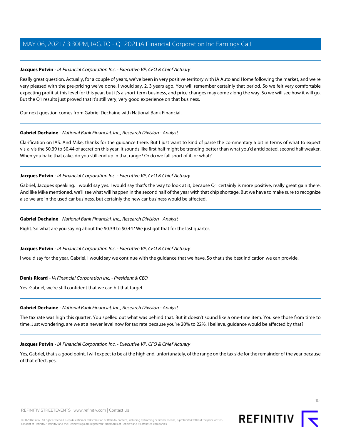### **Jacques Potvin** - iA Financial Corporation Inc. - Executive VP, CFO & Chief Actuary

Really great question. Actually, for a couple of years, we've been in very positive territory with iA Auto and Home following the market, and we're very pleased with the pre-pricing we've done, I would say, 2, 3 years ago. You will remember certainly that period. So we felt very comfortable expecting profit at this level for this year, but it's a short-term business, and price changes may come along the way. So we will see how it will go. But the Q1 results just proved that it's still very, very good experience on that business.

<span id="page-9-0"></span>Our next question comes from Gabriel Dechaine with National Bank Financial.

#### **Gabriel Dechaine** - National Bank Financial, Inc., Research Division - Analyst

Clarification on IAS. And Mike, thanks for the guidance there. But I just want to kind of parse the commentary a bit in terms of what to expect vis-a-vis the \$0.39 to \$0.44 of accretion this year. It sounds like first half might be trending better than what you'd anticipated, second half weaker. When you bake that cake, do you still end up in that range? Or do we fall short of it, or what?

#### **Jacques Potvin** - iA Financial Corporation Inc. - Executive VP, CFO & Chief Actuary

Gabriel, Jacques speaking. I would say yes. I would say that's the way to look at it, because Q1 certainly is more positive, really great gain there. And like Mike mentioned, we'll see what will happen in the second half of the year with that chip shortage. But we have to make sure to recognize also we are in the used car business, but certainly the new car business would be affected.

#### **Gabriel Dechaine** - National Bank Financial, Inc., Research Division - Analyst

Right. So what are you saying about the \$0.39 to \$0.44? We just got that for the last quarter.

#### **Jacques Potvin** - iA Financial Corporation Inc. - Executive VP, CFO & Chief Actuary

I would say for the year, Gabriel, I would say we continue with the guidance that we have. So that's the best indication we can provide.

#### **Denis Ricard** - iA Financial Corporation Inc. - President & CEO

Yes. Gabriel, we're still confident that we can hit that target.

#### **Gabriel Dechaine** - National Bank Financial, Inc., Research Division - Analyst

The tax rate was high this quarter. You spelled out what was behind that. But it doesn't sound like a one-time item. You see those from time to time. Just wondering, are we at a newer level now for tax rate because you're 20% to 22%, I believe, guidance would be affected by that?

#### **Jacques Potvin** - iA Financial Corporation Inc. - Executive VP, CFO & Chief Actuary

Yes, Gabriel, that's a good point. I will expect to be at the high end, unfortunately, of the range on the tax side for the remainder of the year because of that effect, yes.

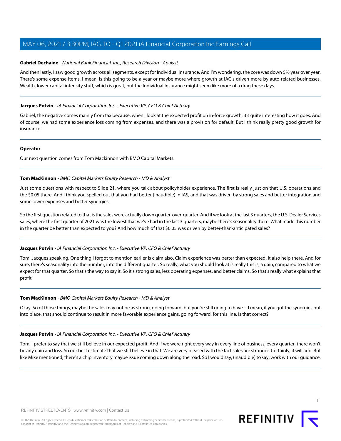### **Gabriel Dechaine** - National Bank Financial, Inc., Research Division - Analyst

And then lastly, I saw good growth across all segments, except for Individual Insurance. And I'm wondering, the core was down 5% year over year. There's some expense items. I mean, is this going to be a year or maybe more where growth at IAG's driven more by auto-related businesses, Wealth, lower capital intensity stuff, which is great, but the Individual Insurance might seem like more of a drag these days.

#### **Jacques Potvin** - iA Financial Corporation Inc. - Executive VP, CFO & Chief Actuary

Gabriel, the negative comes mainly from tax because, when I look at the expected profit on in-force growth, it's quite interesting how it goes. And of course, we had some experience loss coming from expenses, and there was a provision for default. But I think really pretty good growth for insurance.

#### **Operator**

<span id="page-10-0"></span>Our next question comes from Tom Mackinnon with BMO Capital Markets.

#### **Tom MacKinnon** - BMO Capital Markets Equity Research - MD & Analyst

Just some questions with respect to Slide 21, where you talk about policyholder experience. The first is really just on that U.S. operations and the \$0.05 there. And I think you spelled out that you had better (inaudible) in IAS, and that was driven by strong sales and better integration and some lower expenses and better synergies.

So the first question related to that is the sales were actually down quarter-over-quarter. And if we look at the last 3 quarters, the U.S. Dealer Services sales, where the first quarter of 2021 was the lowest that we've had in the last 3 quarters, maybe there's seasonality there. What made this number in the quarter be better than expected to you? And how much of that \$0.05 was driven by better-than-anticipated sales?

#### **Jacques Potvin** - iA Financial Corporation Inc. - Executive VP, CFO & Chief Actuary

Tom, Jacques speaking. One thing I forgot to mention earlier is claim also. Claim experience was better than expected. It also help there. And for sure, there's seasonality into the number, into the different quarter. So really, what you should look at is really this is, a gain, compared to what we expect for that quarter. So that's the way to say it. So it's strong sales, less operating expenses, and better claims. So that's really what explains that profit.

#### **Tom MacKinnon** - BMO Capital Markets Equity Research - MD & Analyst

Okay. So of those things, maybe the sales may not be as strong, going forward, but you're still going to have -- I mean, if you got the synergies put into place, that should continue to result in more favorable experience gains, going forward, for this line. Is that correct?

#### **Jacques Potvin** - iA Financial Corporation Inc. - Executive VP, CFO & Chief Actuary

Tom, I prefer to say that we still believe in our expected profit. And if we were right every way in every line of business, every quarter, there won't be any gain and loss. So our best estimate that we still believe in that. We are very pleased with the fact sales are stronger. Certainly, it will add. But like Mike mentioned, there's a chip inventory maybe issue coming down along the road. So I would say, (inaudible) to say, work with our guidance.

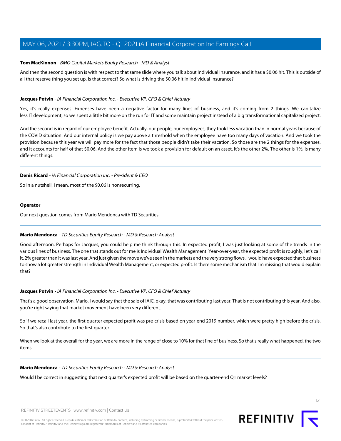#### **Tom MacKinnon** - BMO Capital Markets Equity Research - MD & Analyst

And then the second question is with respect to that same slide where you talk about Individual Insurance, and it has a \$0.06 hit. This is outside of all that reserve thing you set up. Is that correct? So what is driving the \$0.06 hit in Individual Insurance?

### **Jacques Potvin** - iA Financial Corporation Inc. - Executive VP, CFO & Chief Actuary

Yes, it's really expenses. Expenses have been a negative factor for many lines of business, and it's coming from 2 things. We capitalize less IT development, so we spent a little bit more on the run for IT and some maintain project instead of a big transformational capitalized project.

And the second is in regard of our employee benefit. Actually, our people, our employees, they took less vacation than in normal years because of the COVID situation. And our internal policy is we pay above a threshold when the employee have too many days of vacation. And we took the provision because this year we will pay more for the fact that those people didn't take their vacation. So those are the 2 things for the expenses, and it accounts for half of that \$0.06. And the other item is we took a provision for default on an asset. It's the other 2%. The other is 1%, is many different things.

#### **Denis Ricard** - iA Financial Corporation Inc. - President & CEO

So in a nutshell, I mean, most of the \$0.06 is nonrecurring.

#### **Operator**

<span id="page-11-0"></span>Our next question comes from Mario Mendonca with TD Securities.

#### **Mario Mendonca** - TD Securities Equity Research - MD & Research Analyst

Good afternoon. Perhaps for Jacques, you could help me think through this. In expected profit, I was just looking at some of the trends in the various lines of business. The one that stands out for me is Individual Wealth Management. Year-over-year, the expected profit is roughly, let's call it, 2% greater than it was last year. And just given the move we've seen in the markets and the very strong flows, I would have expected that business to show a lot greater strength in Individual Wealth Management, or expected profit. Is there some mechanism that I'm missing that would explain that?

#### **Jacques Potvin** - iA Financial Corporation Inc. - Executive VP, CFO & Chief Actuary

That's a good observation, Mario. I would say that the sale of IAIC, okay, that was contributing last year. That is not contributing this year. And also, you're right saying that market movement have been very different.

So if we recall last year, the first quarter expected profit was pre-crisis based on year-end 2019 number, which were pretty high before the crisis. So that's also contribute to the first quarter.

When we look at the overall for the year, we are more in the range of close to 10% for that line of business. So that's really what happened, the two items.

#### **Mario Mendonca** - TD Securities Equity Research - MD & Research Analyst

Would I be correct in suggesting that next quarter's expected profit will be based on the quarter-end Q1 market levels?

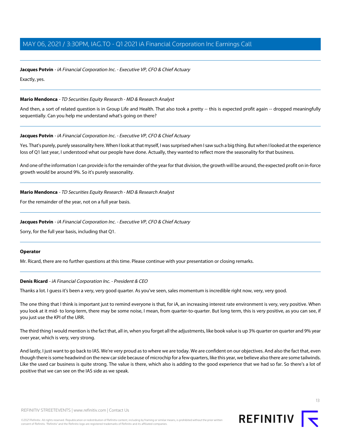#### **Jacques Potvin** - iA Financial Corporation Inc. - Executive VP, CFO & Chief Actuary

Exactly, yes.

#### **Mario Mendonca** - TD Securities Equity Research - MD & Research Analyst

And then, a sort of related question is in Group Life and Health. That also took a pretty -- this is expected profit again -- dropped meaningfully sequentially. Can you help me understand what's going on there?

#### **Jacques Potvin** - iA Financial Corporation Inc. - Executive VP, CFO & Chief Actuary

Yes. That's purely, purely seasonality here. When I look at that myself, I was surprised when I saw such a big thing. But when I looked at the experience loss of Q1 last year, I understood what our people have done. Actually, they wanted to reflect more the seasonality for that business.

And one of the information I can provide is for the remainder of the year for that division, the growth will be around, the expected profit on in-force growth would be around 9%. So it's purely seasonality.

#### **Mario Mendonca** - TD Securities Equity Research - MD & Research Analyst

For the remainder of the year, not on a full year basis.

#### **Jacques Potvin** - iA Financial Corporation Inc. - Executive VP, CFO & Chief Actuary

Sorry, for the full year basis, including that Q1.

#### **Operator**

Mr. Ricard, there are no further questions at this time. Please continue with your presentation or closing remarks.

#### **Denis Ricard** - iA Financial Corporation Inc. - President & CEO

Thanks a lot. I guess it's been a very, very good quarter. As you've seen, sales momentum is incredible right now, very, very good.

The one thing that I think is important just to remind everyone is that, for iA, an increasing interest rate environment is very, very positive. When you look at it mid- to long-term, there may be some noise, I mean, from quarter-to-quarter. But long term, this is very positive, as you can see, if you just use the KPI of the URR.

The third thing I would mention is the fact that, all in, when you forget all the adjustments, like book value is up 3% quarter on quarter and 9% year over year, which is very, very strong.

And lastly, I just want to go back to IAS. We're very proud as to where we are today. We are confident on our objectives. And also the fact that, even though there is some headwind on the new car side because of microchip for a few quarters, like this year, we believe also there are some tailwinds. Like the used car business is quite strong. The value is there, which also is adding to the good experience that we had so far. So there's a lot of positive that we can see on the IAS side as we speak.